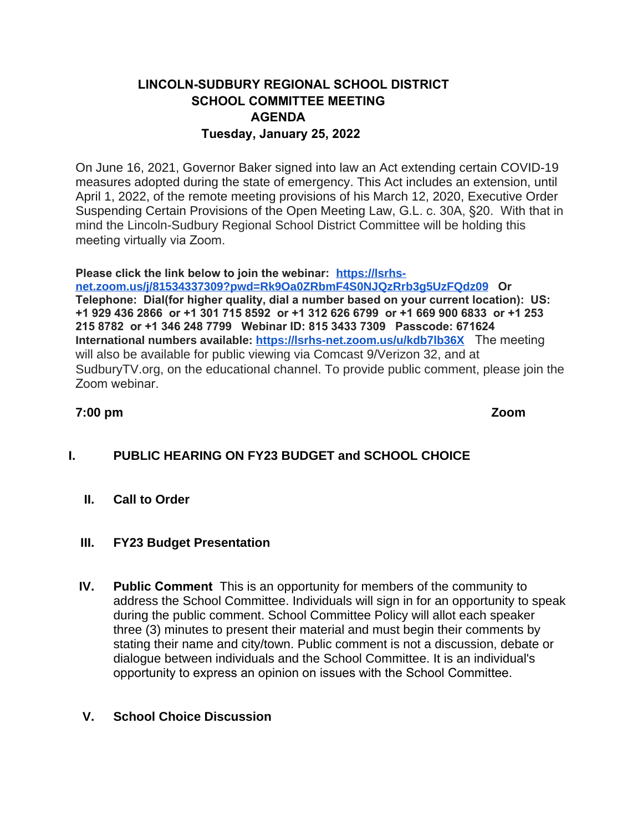# **LINCOLN-SUDBURY REGIONAL SCHOOL DISTRICT SCHOOL COMMITTEE MEETING AGENDA Tuesday, January 25, 2022**

On June 16, 2021, Governor Baker signed into law an Act extending certain COVID-19 measures adopted during the state of emergency. This Act includes an extension, until April 1, 2022, of the remote meeting provisions of his March 12, 2020, Executive Order Suspending Certain Provisions of the Open Meeting Law, G.L. c. 30A, §20. With that in mind the Lincoln-Sudbury Regional School District Committee will be holding this meeting virtually via Zoom.

### **Please click the link below to join the webinar: [https://lsrhs-](https://lsrhs-net.zoom.us/j/81534337309?pwd=Rk9Oa0ZRbmF4S0NJQzRrb3g5UzFQdz09)**

**net.zoom.us/j/81534337309?pwd=Rk9Oa0ZRbmF4S0NJQzRrb3g5UzFQdz09 Or Telephone: Dial(for higher quality, dial a number based on your current location): US: +1 929 436 2866 or +1 301 715 8592 or +1 312 626 6799 or +1 669 900 6833 or +1 253 215 8782 or +1 346 248 7799 Webinar ID: 815 3433 7309 Passcode: 671624 International numbers available: [https://lsrhs-net.zoom.us/u/kdb7lb36X](https://lsrhs-net.zoom.us/u/kdb7lb36Xk)** The meeting will also be available for public viewing via Comcast 9/Verizon 32, and at SudburyTV.org, on the educational channel. To provide public comment, please join the Zoom webinar.

### **7:00 pm Zoom**

# **I. PUBLIC HEARING ON FY23 BUDGET and SCHOOL CHOICE**

**II. Call to Order**

#### **III. FY23 Budget Presentation**

**IV. Public Comment** This is an opportunity for members of the community to address the School Committee. Individuals will sign in for an opportunity to speak during the public comment. School Committee Policy will allot each speaker three (3) minutes to present their material and must begin their comments by stating their name and city/town. Public comment is not a discussion, debate or dialogue between individuals and the School Committee. It is an individual's opportunity to express an opinion on issues with the School Committee.

# **V. School Choice Discussion**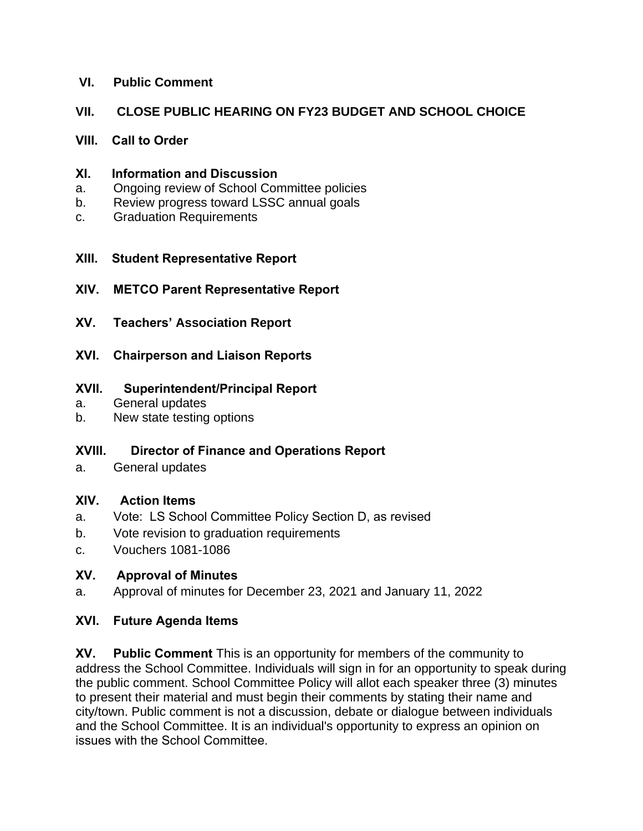### **VI. Public Comment**

# **VII. CLOSE PUBLIC HEARING ON FY23 BUDGET AND SCHOOL CHOICE**

#### **VIII. Call to Order**

#### **XI. Information and Discussion**

- a. Ongoing review of School Committee policies
- b. Review progress toward LSSC annual goals
- c. Graduation Requirements

### **XIII. Student Representative Report**

- **XIV. METCO Parent Representative Report**
- **XV. Teachers' Association Report**
- **XVI. Chairperson and Liaison Reports**

### **XVII. Superintendent/Principal Report**

- a. General updates
- b. New state testing options

# **XVIII. Director of Finance and Operations Report**

a. General updates

# **XIV. Action Items**

- a. Vote: LS School Committee Policy Section D, as revised
- b. Vote revision to graduation requirements
- c. Vouchers 1081-1086

# **XV. Approval of Minutes**

a. Approval of minutes for December 23, 2021 and January 11, 2022

# **XVI. Future Agenda Items**

**XV. Public Comment** This is an opportunity for members of the community to address the School Committee. Individuals will sign in for an opportunity to speak during the public comment. School Committee Policy will allot each speaker three (3) minutes to present their material and must begin their comments by stating their name and city/town. Public comment is not a discussion, debate or dialogue between individuals and the School Committee. It is an individual's opportunity to express an opinion on issues with the School Committee.